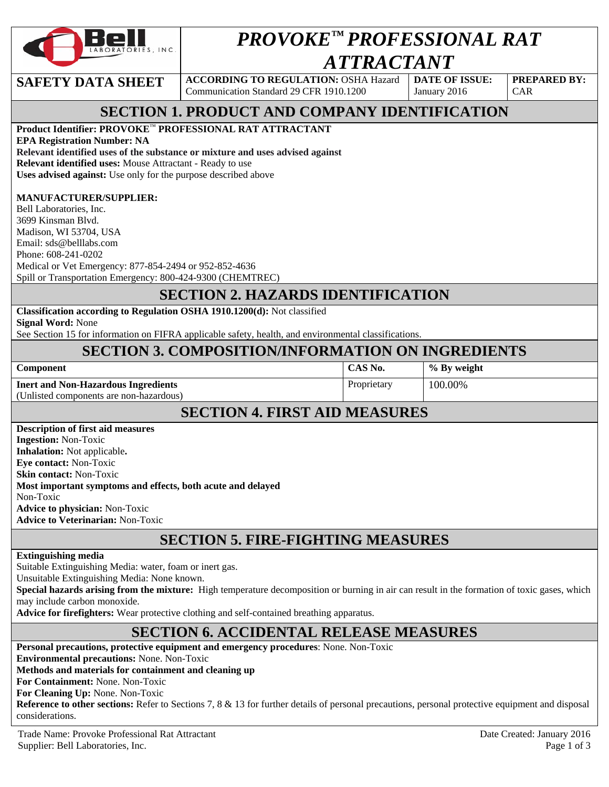

# *PROVOKE™ PROFESSIONAL RAT ATTRACTANT*

**SAFETY DATA SHEET** | ACCORDING TO REGULATION: OSHA Hazard Communication Standard 29 CFR 1910.1200

**DATE OF ISSUE:**  January 2016

**PREPARED BY:**  CAR

# **SECTION 1. PRODUCT AND COMPANY IDENTIFICATION**

#### **Product Identifier: PROVOKE**™ **PROFESSIONAL RAT ATTRACTANT**

**EPA Registration Number: NA Relevant identified uses of the substance or mixture and uses advised against Relevant identified uses:** Mouse Attractant - Ready to use **Uses advised against:** Use only for the purpose described above

#### **MANUFACTURER/SUPPLIER:**

Bell Laboratories, Inc. 3699 Kinsman Blvd. Madison, WI 53704, USA Email: sds@belllabs.com Phone: 608-241-0202 Medical or Vet Emergency: 877-854-2494 or 952-852-4636 Spill or Transportation Emergency: 800-424-9300 (CHEMTREC)

## **SECTION 2. HAZARDS IDENTIFICATION**

**Classification according to Regulation OSHA 1910.1200(d):** Not classified **Signal Word:** None

See Section 15 for information on FIFRA applicable safety, health, and environmental classifications.

## **SECTION 3. COMPOSITION/INFORMATION ON INGREDIENTS**

| <b>Component</b>                                            | CAS No.     | % By weight |  |  |  |
|-------------------------------------------------------------|-------------|-------------|--|--|--|
| <b>Inert and Non-Hazardous Ingredients</b>                  | Proprietary | 100.00%     |  |  |  |
| (Unlisted components are non-hazardous)                     |             |             |  |  |  |
| <b>SECTION 4. FIRST AID MEASURES</b>                        |             |             |  |  |  |
| <b>Description of first aid measures</b>                    |             |             |  |  |  |
| <b>Ingestion:</b> Non-Toxic                                 |             |             |  |  |  |
| <b>Inhalation:</b> Not applicable.                          |             |             |  |  |  |
| <b>Eye contact:</b> Non-Toxic                               |             |             |  |  |  |
| <b>Skin contact: Non-Toxic</b>                              |             |             |  |  |  |
| Most important symptoms and effects, both acute and delayed |             |             |  |  |  |
| Non-Toxic                                                   |             |             |  |  |  |
| <b>Advice to physician: Non-Toxic</b>                       |             |             |  |  |  |
| Advise to Veterinanians New Texts                           |             |             |  |  |  |

**Advice to Veterinarian:** Non-Toxic

# **SECTION 5. FIRE-FIGHTING MEASURES**

#### **Extinguishing media**

Suitable Extinguishing Media: water, foam or inert gas.

Unsuitable Extinguishing Media: None known.

**Special hazards arising from the mixture:** High temperature decomposition or burning in air can result in the formation of toxic gases, which may include carbon monoxide.

**Advice for firefighters:** Wear protective clothing and self-contained breathing apparatus.

#### **SECTION 6. ACCIDENTAL RELEASE MEASURES**

**Personal precautions, protective equipment and emergency procedures**: None. Non-Toxic **Environmental precautions:** None. Non-Toxic **Methods and materials for containment and cleaning up For Containment:** None. Non-Toxic **For Cleaning Up:** None. Non-Toxic Reference to other sections: Refer to Sections 7, 8 & 13 for further details of personal precautions, personal protective equipment and disposal considerations.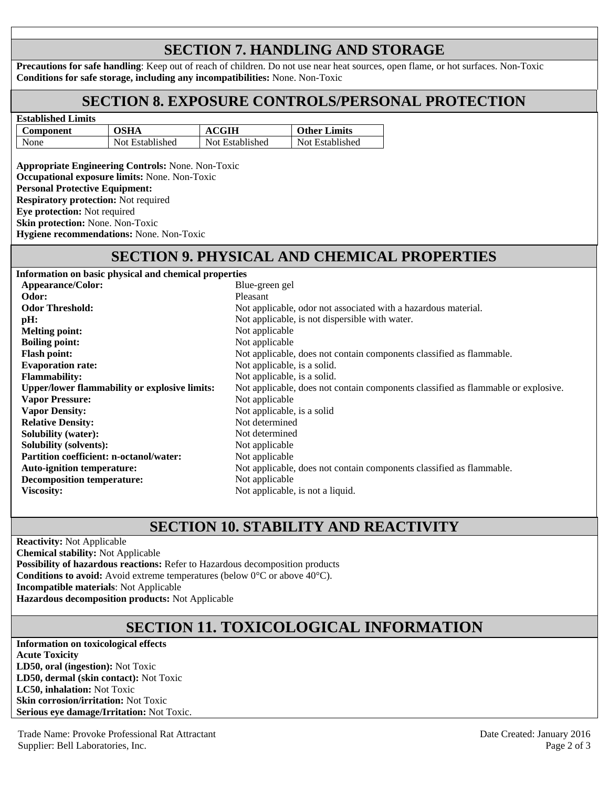# **SECTION 7. HANDLING AND STORAGE**

**Precautions for safe handling**: Keep out of reach of children. Do not use near heat sources, open flame, or hot surfaces. Non-Toxic **Conditions for safe storage, including any incompatibilities:** None. Non-Toxic

## **SECTION 8. EXPOSURE CONTROLS/PERSONAL PROTECTION**

| <b>Established Limits</b> |                 |                 |                     |  |  |  |
|---------------------------|-----------------|-----------------|---------------------|--|--|--|
| Component                 | OSHA            | <b>ACGIH</b>    | <b>Other Limits</b> |  |  |  |
| None                      | Not Established | Not Established | Not Established     |  |  |  |

**Appropriate Engineering Controls:** None. Non-Toxic **Occupational exposure limits:** None. Non-Toxic **Personal Protective Equipment: Respiratory protection:** Not required **Eye protection:** Not required **Skin protection:** None. Non-Toxic **Hygiene recommendations:** None. Non-Toxic

## **SECTION 9. PHYSICAL AND CHEMICAL PROPERTIES**

**Information on basic physical and chemical properties Appearance/Color:** B **Odor:** Pleasant **Odor Threshold:** Not also associated with a hazardous material. Not associated with a hazardous material. Not **pH:** Not applicable, is not dispersible with water. **Melting point:** Not applicable that  $\mathbb{N}$ **Boiling point:** No **Evaporation rate:** Note all the solution of the solution of  $\mathbb{N}$ **Flammability:** Note **Upper/lower flammability or explosive limits:** Not allow not contain contain contain contain contain as  $\frac{1}{2}$ **Vapor Pressure: Vapor Density:**   $N$ **Relative Density:** Note that the Note of the Note of Note of the Note of Note of the Note of Note of the Note of Note of the Note of the Note of the Note of the Note of the Note of the Note of the Note of the Note of the **Solubility (water):** No **Solubility (solvents):** No **Partition coefficient: n-octanol/water:** No **Auto-ignition temperature:** Note **Decomposition temperature:** No **Viscosity:** Note a liquid. The liquid of a liquid of a liquid  $\mathbf{N}$  and  $\mathbf{N}$  and  $\mathbf{N}$  and  $\mathbf{N}$  and  $\mathbf{N}$  and  $\mathbf{N}$  and  $\mathbf{N}$  and  $\mathbf{N}$  and  $\mathbf{N}$  and  $\mathbf{N}$  and  $\mathbf{N}$  and  $\mathbf{N}$  and  $\math$ 

| mormanon on basic physical and chemical properties   |                                                                                   |
|------------------------------------------------------|-----------------------------------------------------------------------------------|
| Appearance/Color:                                    | Blue-green gel                                                                    |
| Odor:                                                | <b>Pleasant</b>                                                                   |
| <b>Odor Threshold:</b>                               | Not applicable, odor not associated with a hazardous material.                    |
| pH:                                                  | Not applicable, is not dispersible with water.                                    |
| <b>Melting point:</b>                                | Not applicable                                                                    |
| <b>Boiling point:</b>                                | Not applicable                                                                    |
| Flash point:                                         | Not applicable, does not contain components classified as flammable.              |
| <b>Evaporation rate:</b>                             | Not applicable, is a solid.                                                       |
| <b>Flammability:</b>                                 | Not applicable, is a solid.                                                       |
| <b>Upper/lower flammability or explosive limits:</b> | Not applicable, does not contain components classified as flammable or explosive. |
| <b>Vapor Pressure:</b>                               | Not applicable                                                                    |
| <b>Vapor Density:</b>                                | Not applicable, is a solid                                                        |
| <b>Relative Density:</b>                             | Not determined                                                                    |
| <b>Solubility (water):</b>                           | Not determined                                                                    |
| <b>Solubility (solvents):</b>                        | Not applicable                                                                    |
| <b>Partition coefficient: n-octanol/water:</b>       | Not applicable                                                                    |
| <b>Auto-ignition temperature:</b>                    | Not applicable, does not contain components classified as flammable.              |
| <b>Decomposition temperature:</b>                    | Not applicable                                                                    |
| <b>Viscositv:</b>                                    | Not applicable, is not a liquid.                                                  |

# **SECTION 10. STABILITY AND REACTIVITY**

**Reactivity:** Not Applicable **Chemical stability:** Not Applicable **Possibility of hazardous reactions:** Refer to Hazardous decomposition products **Conditions to avoid:** Avoid extreme temperatures (below 0°C or above 40°C). **Incompatible materials**: Not Applicable **Hazardous decomposition products:** Not Applicable

# **SECTION 11. TOXICOLOGICAL INFORMATION**

**Information on toxicological effects Acute Toxicity LD50, oral (ingestion):** Not Toxic **LD50, dermal (skin contact):** Not Toxic **LC50, inhalation:** Not Toxic **Skin corrosion/irritation:** Not Toxic **Serious eye damage/Irritation:** Not Toxic.

Trade Name: Provoke Professional Rat Attractant **Date Created: January 2016** Date Created: January 2016 Supplier: Bell Laboratories, Inc. Page 2 of 3